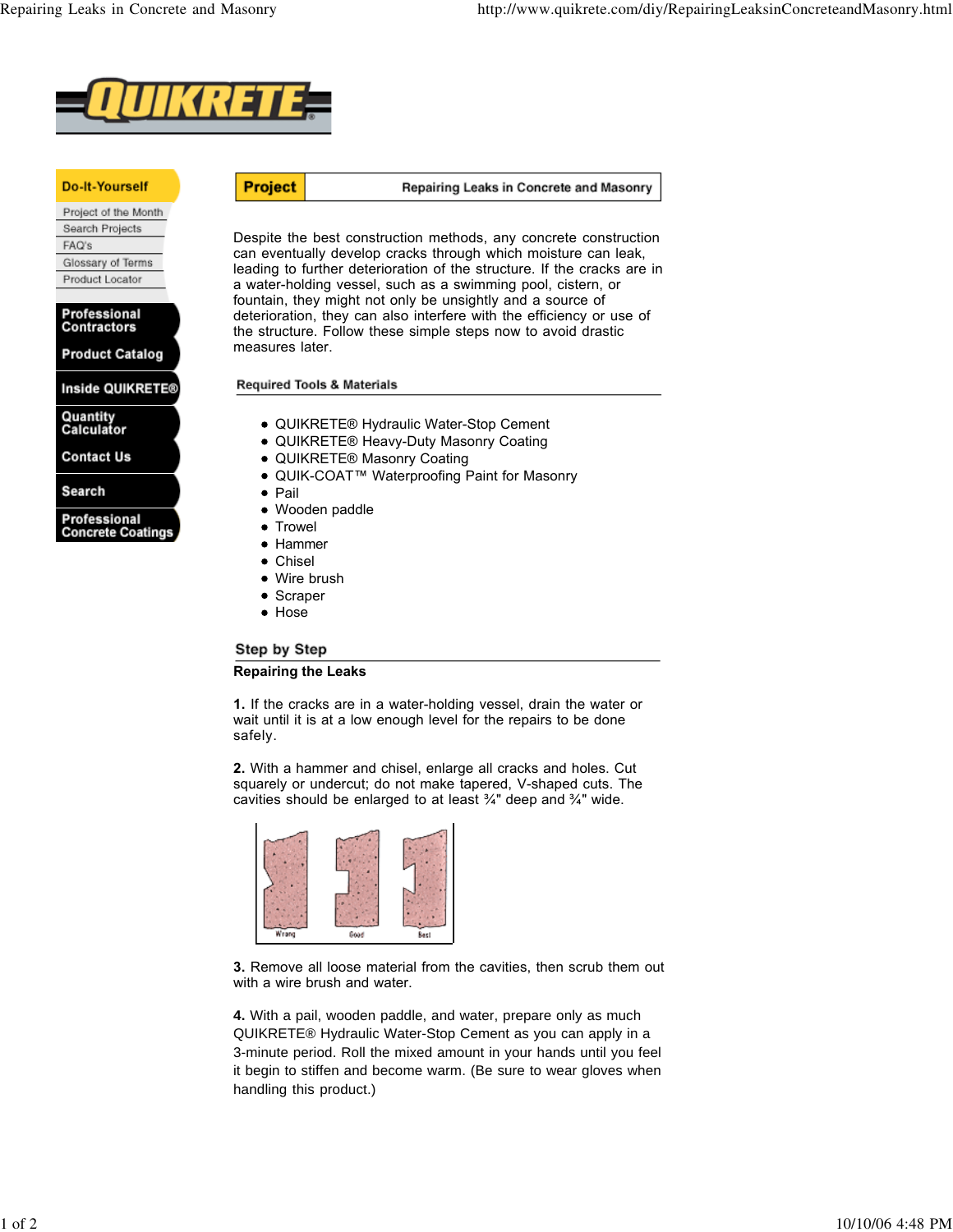

## **Do-It-Yourself**

Project of the Month Search Projects FAQ's Glossary of Terms Product Locator

Professional **Contractors** 

**Product Catalog** 

Inside QUIKRETE®

Quantity<br>Calculator

**Contact Us** 

Search

Professional **Concrete Coatings** 

## **Project** Repairing Leaks in Concrete and Masonry

Despite the best construction methods, any concrete construction can eventually develop cracks through which moisture can leak, leading to further deterioration of the structure. If the cracks are in a water-holding vessel, such as a swimming pool, cistern, or fountain, they might not only be unsightly and a source of deterioration, they can also interfere with the efficiency or use of the structure. Follow these simple steps now to avoid drastic measures later.

**Required Tools & Materials** 

- QUIKRETE® Hydraulic Water-Stop Cement
- QUIKRETE® Heavy-Duty Masonry Coating
- QUIKRETE® Masonry Coating
- QUIK-COAT™ Waterproofing Paint for Masonry
- Pail
- Wooden paddle
- Trowel
- Hammer
- Chisel
- Wire brush
- Scraper
- Hose

## Step by Step

## **Repairing the Leaks**

**1.** If the cracks are in a water-holding vessel, drain the water or wait until it is at a low enough level for the repairs to be done safely.

**2.** With a hammer and chisel, enlarge all cracks and holes. Cut squarely or undercut; do not make tapered, V-shaped cuts. The cavities should be enlarged to at least ¾" deep and ¾" wide.



**3.** Remove all loose material from the cavities, then scrub them out with a wire brush and water.

**4.** With a pail, wooden paddle, and water, prepare only as much QUIKRETE® Hydraulic Water-Stop Cement as you can apply in a 3-minute period. Roll the mixed amount in your hands until you feel it begin to stiffen and become warm. (Be sure to wear gloves when handling this product.)